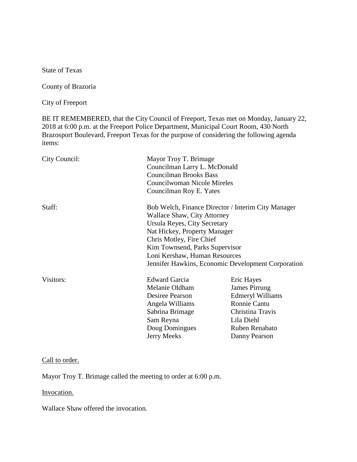State of Texas

County of Brazoria

City of Freeport

BE IT REMEMBERED, that the City Council of Freeport, Texas met on Monday, January 22, 2018 at 6:00 p.m. at the Freeport Police Department, Municipal Court Room, 430 North Brazosport Boulevard, Freeport Texas for the purpose of considering the following agenda items:

| City Council: | Mayor Troy T. Brimage<br>Councilman Larry L. McDonald<br><b>Councilman Brooks Bass</b><br>Councilwoman Nicole Mireles<br>Councilman Roy E. Yates                                                                                                                                                              |                                                                                                                                                    |
|---------------|---------------------------------------------------------------------------------------------------------------------------------------------------------------------------------------------------------------------------------------------------------------------------------------------------------------|----------------------------------------------------------------------------------------------------------------------------------------------------|
| Staff:        | Bob Welch, Finance Director / Interim City Manager<br><b>Wallace Shaw, City Attorney</b><br>Ursula Reyes, City Secretary<br>Nat Hickey, Property Manager<br>Chris Motley, Fire Chief<br>Kim Townsend, Parks Supervisor<br>Loni Kershaw, Human Resources<br>Jennifer Hawkins, Economic Development Corporation |                                                                                                                                                    |
| Visitors:     | <b>Edward Garcia</b><br>Melanie Oldham<br>Desiree Pearson<br>Angela Williams<br>Sabrina Brimage<br>Sam Reyna<br>Doug Domingues<br><b>Jerry Meeks</b>                                                                                                                                                          | Eric Hayes<br>James Pirrung<br><b>Edmeryl Williams</b><br><b>Ronnie Cantu</b><br>Christina Travis<br>Lila Diehl<br>Ruben Renabato<br>Danny Pearson |

### Call to order.

Mayor Troy T. Brimage called the meeting to order at 6:00 p.m.

### Invocation.

Wallace Shaw offered the invocation.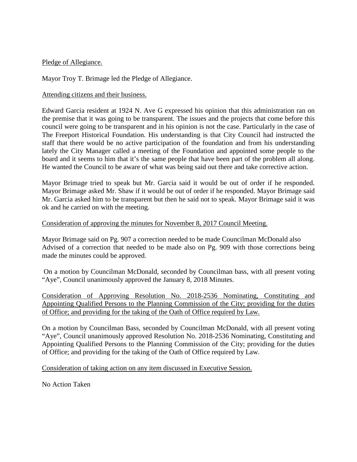### Pledge of Allegiance.

Mayor Troy T. Brimage led the Pledge of Allegiance.

### Attending citizens and their business.

Edward Garcia resident at 1924 N. Ave G expressed his opinion that this administration ran on the premise that it was going to be transparent. The issues and the projects that come before this council were going to be transparent and in his opinion is not the case. Particularly in the case of The Freeport Historical Foundation. His understanding is that City Council had instructed the staff that there would be no active participation of the foundation and from his understanding lately the City Manager called a meeting of the Foundation and appointed some people to the board and it seems to him that it's the same people that have been part of the problem all along. He wanted the Council to be aware of what was being said out there and take corrective action.

Mayor Brimage tried to speak but Mr. Garcia said it would be out of order if he responded. Mayor Brimage asked Mr. Shaw if it would be out of order if he responded. Mayor Brimage said Mr. Garcia asked him to be transparent but then he said not to speak. Mayor Brimage said it was ok and he carried on with the meeting.

#### Consideration of approving the minutes for November 8, 2017 Council Meeting.

Mayor Brimage said on Pg. 907 a correction needed to be made Councilman McDonald also Advised of a correction that needed to be made also on Pg. 909 with those corrections being made the minutes could be approved.

On a motion by Councilman McDonald, seconded by Councilman bass, with all present voting "Aye", Council unanimously approved the January 8, 2018 Minutes.

Consideration of Approving Resolution No. 2018-2536 Nominating, Constituting and Appointing Qualified Persons to the Planning Commission of the City; providing for the duties of Office; and providing for the taking of the Oath of Office required by Law.

On a motion by Councilman Bass, seconded by Councilman McDonald, with all present voting "Aye", Council unanimously approved Resolution No. 2018-2536 Nominating, Constituting and Appointing Qualified Persons to the Planning Commission of the City; providing for the duties of Office; and providing for the taking of the Oath of Office required by Law.

Consideration of taking action on any item discussed in Executive Session.

No Action Taken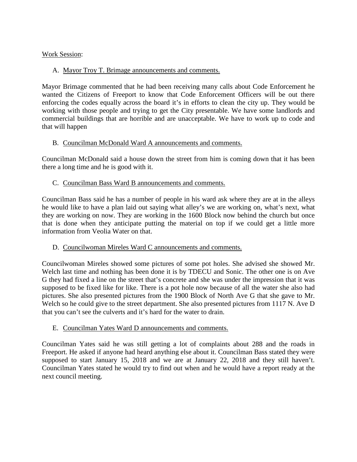# Work Session:

# A. Mayor Troy T. Brimage announcements and comments.

Mayor Brimage commented that he had been receiving many calls about Code Enforcement he wanted the Citizens of Freeport to know that Code Enforcement Officers will be out there enforcing the codes equally across the board it's in efforts to clean the city up. They would be working with those people and trying to get the City presentable. We have some landlords and commercial buildings that are horrible and are unacceptable. We have to work up to code and that will happen

## B. Councilman McDonald Ward A announcements and comments.

Councilman McDonald said a house down the street from him is coming down that it has been there a long time and he is good with it.

## C. Councilman Bass Ward B announcements and comments.

Councilman Bass said he has a number of people in his ward ask where they are at in the alleys he would like to have a plan laid out saying what alley's we are working on, what's next, what they are working on now. They are working in the 1600 Block now behind the church but once that is done when they anticipate putting the material on top if we could get a little more information from Veolia Water on that.

## D. Councilwoman Mireles Ward C announcements and comments.

Councilwoman Mireles showed some pictures of some pot holes. She advised she showed Mr. Welch last time and nothing has been done it is by TDECU and Sonic. The other one is on Ave G they had fixed a line on the street that's concrete and she was under the impression that it was supposed to be fixed like for like. There is a pot hole now because of all the water she also had pictures. She also presented pictures from the 1900 Block of North Ave G that she gave to Mr. Welch so he could give to the street department. She also presented pictures from 1117 N. Ave D that you can't see the culverts and it's hard for the water to drain.

## E. Councilman Yates Ward D announcements and comments.

Councilman Yates said he was still getting a lot of complaints about 288 and the roads in Freeport. He asked if anyone had heard anything else about it. Councilman Bass stated they were supposed to start January 15, 2018 and we are at January 22, 2018 and they still haven't. Councilman Yates stated he would try to find out when and he would have a report ready at the next council meeting.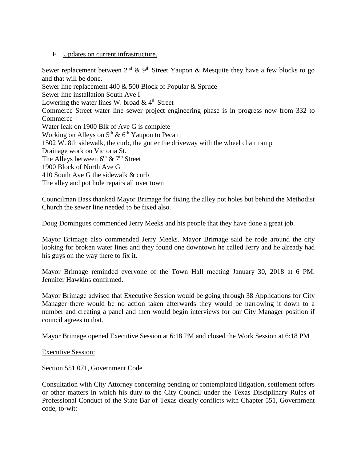### F. Updates on current infrastructure.

Sewer replacement between  $2<sup>nd</sup>$  & 9<sup>th</sup> Street Yaupon & Mesquite they have a few blocks to go and that will be done.

Sewer line replacement 400 & 500 Block of Popular & Spruce Sewer line installation South Ave I Lowering the water lines W. broad  $& 4<sup>th</sup>$  Street Commerce Street water line sewer project engineering phase is in progress now from 332 to **Commerce** Water leak on 1900 Blk of Ave G is complete Working on Alleys on  $5<sup>th</sup>$  &  $6<sup>th</sup>$  Yaupon to Pecan 1502 W. 8th sidewalk, the curb, the gutter the driveway with the wheel chair ramp Drainage work on Victoria St. The Alleys between  $6<sup>th</sup>$  &  $7<sup>th</sup>$  Street 1900 Block of North Ave G 410 South Ave G the sidewalk & curb The alley and pot hole repairs all over town

Councilman Bass thanked Mayor Brimage for fixing the alley pot holes but behind the Methodist Church the sewer line needed to be fixed also.

Doug Domingues commended Jerry Meeks and his people that they have done a great job.

Mayor Brimage also commended Jerry Meeks. Mayor Brimage said he rode around the city looking for broken water lines and they found one downtown he called Jerry and he already had his guys on the way there to fix it.

Mayor Brimage reminded everyone of the Town Hall meeting January 30, 2018 at 6 PM. Jennifer Hawkins confirmed.

Mayor Brimage advised that Executive Session would be going through 38 Applications for City Manager there would be no action taken afterwards they would be narrowing it down to a number and creating a panel and then would begin interviews for our City Manager position if council agrees to that.

Mayor Brimage opened Executive Session at 6:18 PM and closed the Work Session at 6:18 PM

Executive Session:

Section 551.071, Government Code

Consultation with City Attorney concerning pending or contemplated litigation, settlement offers or other matters in which his duty to the City Council under the Texas Disciplinary Rules of Professional Conduct of the State Bar of Texas clearly conflicts with Chapter 551, Government code, to-wit: